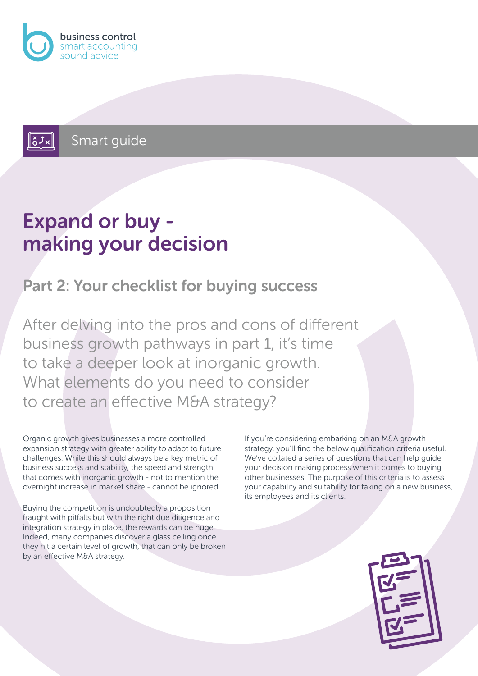

Smart guide

# Expand or buy making your decision

#### Part 2: Your checklist for buying success

After delving into the pros and cons of different business growth pathways in part 1, it's time to take a deeper look at inorganic growth. What elements do you need to consider to create an effective M&A strategy?

Organic growth gives businesses a more controlled expansion strategy with greater ability to adapt to future challenges. While this should always be a key metric of business success and stability, the speed and strength that comes with inorganic growth - not to mention the overnight increase in market share - cannot be ignored.

Buying the competition is undoubtedly a proposition fraught with pitfalls but with the right due diligence and integration strategy in place, the rewards can be huge. Indeed, many companies discover a glass ceiling once they hit a certain level of growth, that can only be broken by an effective M&A strategy.

If you're considering embarking on an M&A growth strategy, you'll find the below qualification criteria useful. We've collated a series of questions that can help guide your decision making process when it comes to buying other businesses. The purpose of this criteria is to assess your capability and suitability for taking on a new business, its employees and its clients.

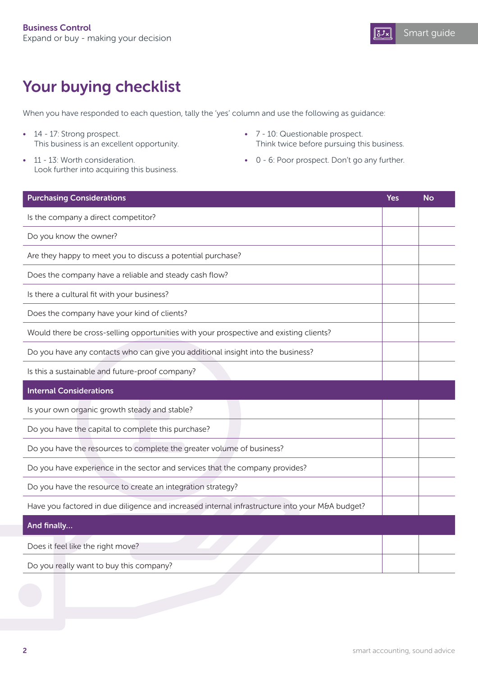

### Your buying checklist

When you have responded to each question, tally the 'yes' column and use the following as guidance:

- 14 17: Strong prospect. This business is an excellent opportunity.
- 11 13: Worth consideration. Look further into acquiring this business.
- 7 10: Questionable prospect. Think twice before pursuing this business.
- 0 6: Poor prospect. Don't go any further.

| <b>Purchasing Considerations</b>                                                               | <b>Yes</b> | <b>No</b> |
|------------------------------------------------------------------------------------------------|------------|-----------|
| Is the company a direct competitor?                                                            |            |           |
| Do you know the owner?                                                                         |            |           |
| Are they happy to meet you to discuss a potential purchase?                                    |            |           |
| Does the company have a reliable and steady cash flow?                                         |            |           |
| Is there a cultural fit with your business?                                                    |            |           |
| Does the company have your kind of clients?                                                    |            |           |
| Would there be cross-selling opportunities with your prospective and existing clients?         |            |           |
| Do you have any contacts who can give you additional insight into the business?                |            |           |
| Is this a sustainable and future-proof company?                                                |            |           |
| <b>Internal Considerations</b>                                                                 |            |           |
| Is your own organic growth steady and stable?                                                  |            |           |
| Do you have the capital to complete this purchase?                                             |            |           |
| Do you have the resources to complete the greater volume of business?                          |            |           |
| Do you have experience in the sector and services that the company provides?                   |            |           |
| Do you have the resource to create an integration strategy?                                    |            |           |
| Have you factored in due diligence and increased internal infrastructure into your M&A budget? |            |           |
| And finally                                                                                    |            |           |
| Does it feel like the right move?                                                              |            |           |
| Do you really want to buy this company?                                                        |            |           |
|                                                                                                |            |           |
|                                                                                                |            |           |